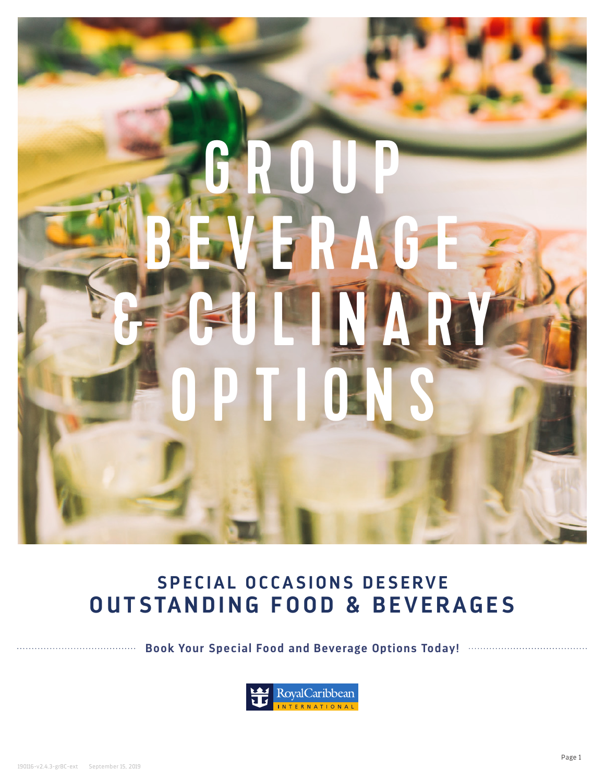# GROUP **FR-165** & CULINARY OPTI

# **SPECIAL OCCASIONS DESERVE OUTSTANDING FOOD & BEVERAGES**

**Book Your Special Food and Beverage Options Today! Constitutions Tool Beverage Options** Today!

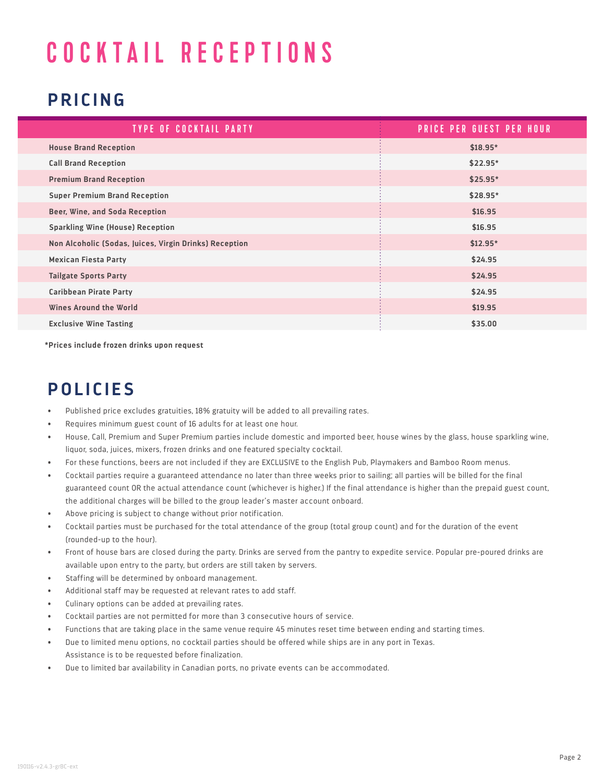# COCKTAIL RECEPTIONS

## **PRICING**

| <b>TYPE OF COCKTAIL PARTY</b>                          | <b>PRICE PER GUEST PER HOUR</b> |
|--------------------------------------------------------|---------------------------------|
| <b>House Brand Reception</b>                           | $$18.95*$                       |
| <b>Call Brand Reception</b>                            | $$22.95*$                       |
| <b>Premium Brand Reception</b>                         | $$25.95*$                       |
| <b>Super Premium Brand Reception</b>                   | $$28.95*$                       |
| Beer, Wine, and Soda Reception                         | \$16.95                         |
| <b>Sparkling Wine (House) Reception</b>                | \$16.95                         |
| Non Alcoholic (Sodas, Juices, Virgin Drinks) Reception | $$12.95*$                       |
| <b>Mexican Fiesta Party</b>                            | \$24.95                         |
| <b>Tailgate Sports Party</b>                           | \$24.95                         |
| <b>Caribbean Pirate Party</b>                          | \$24.95                         |
| Wines Around the World                                 | \$19.95                         |
| <b>Exclusive Wine Tasting</b>                          | \$35.00                         |

**\*Prices include frozen drinks upon request**

## **POLICIES**

- Published price excludes gratuities, 18% gratuity will be added to all prevailing rates.
- Requires minimum guest count of 16 adults for at least one hour.
- House, Call, Premium and Super Premium parties include domestic and imported beer, house wines by the glass, house sparkling wine, liquor, soda, juices, mixers, frozen drinks and one featured specialty cocktail.
- For these functions, beers are not included if they are EXCLUSIVE to the English Pub, Playmakers and Bamboo Room menus.
- Cocktail parties require a guaranteed attendance no later than three weeks prior to sailing; all parties will be billed for the final guaranteed count OR the actual attendance count (whichever is higher.) If the final attendance is higher than the prepaid guest count, the additional charges will be billed to the group leader's master account onboard.
- Above pricing is subject to change without prior notification.
- Cocktail parties must be purchased for the total attendance of the group (total group count) and for the duration of the event (rounded-up to the hour).
- Front of house bars are closed during the party. Drinks are served from the pantry to expedite service. Popular pre-poured drinks are available upon entry to the party, but orders are still taken by servers.
- Staffing will be determined by onboard management.
- Additional staff may be requested at relevant rates to add staff.
- Culinary options can be added at prevailing rates.
- Cocktail parties are not permitted for more than 3 consecutive hours of service.
- Functions that are taking place in the same venue require 45 minutes reset time between ending and starting times.
- Due to limited menu options, no cocktail parties should be offered while ships are in any port in Texas. Assistance is to be requested before finalization.
- Due to limited bar availability in Canadian ports, no private events can be accommodated.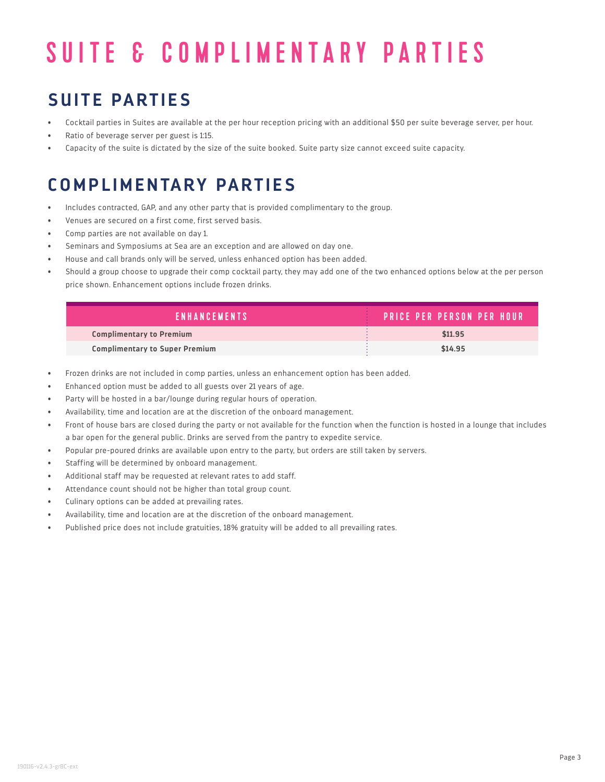# SUITE & COMPLIMENTARY PARTIES

## **SUITE PARTIES**

- Cocktail parties in Suites are available at the per hour reception pricing with an additional \$50 per suite beverage server, per hour.
- Ratio of beverage server per guest is 1:15.
- Capacity of the suite is dictated by the size of the suite booked. Suite party size cannot exceed suite capacity.

# **COMPLIMENTARY PARTIES**

- Includes contracted, GAP, and any other party that is provided complimentary to the group.
- Venues are secured on a first come, first served basis.
- Comp parties are not available on day 1.
- Seminars and Symposiums at Sea are an exception and are allowed on day one.
- House and call brands only will be served, unless enhanced option has been added.
- Should a group choose to upgrade their comp cocktail party, they may add one of the two enhanced options below at the per person price shown. Enhancement options include frozen drinks.

| ENHANCEMENTS                          | PRICE PER PERSON PER HOUR |
|---------------------------------------|---------------------------|
| <b>Complimentary to Premium</b>       | \$11.95                   |
| <b>Complimentary to Super Premium</b> | \$14.95                   |

- Frozen drinks are not included in comp parties, unless an enhancement option has been added.
- Enhanced option must be added to all guests over 21 years of age.
- Party will be hosted in a bar/lounge during regular hours of operation.
- Availability, time and location are at the discretion of the onboard management.
- Front of house bars are closed during the party or not available for the function when the function is hosted in a lounge that includes a bar open for the general public. Drinks are served from the pantry to expedite service.
- Popular pre-poured drinks are available upon entry to the party, but orders are still taken by servers.
- Staffing will be determined by onboard management.
- Additional staff may be requested at relevant rates to add staff.
- Attendance count should not be higher than total group count.
- Culinary options can be added at prevailing rates.
- Availability, time and location are at the discretion of the onboard management.
- Published price does not include gratuities, 18% gratuity will be added to all prevailing rates.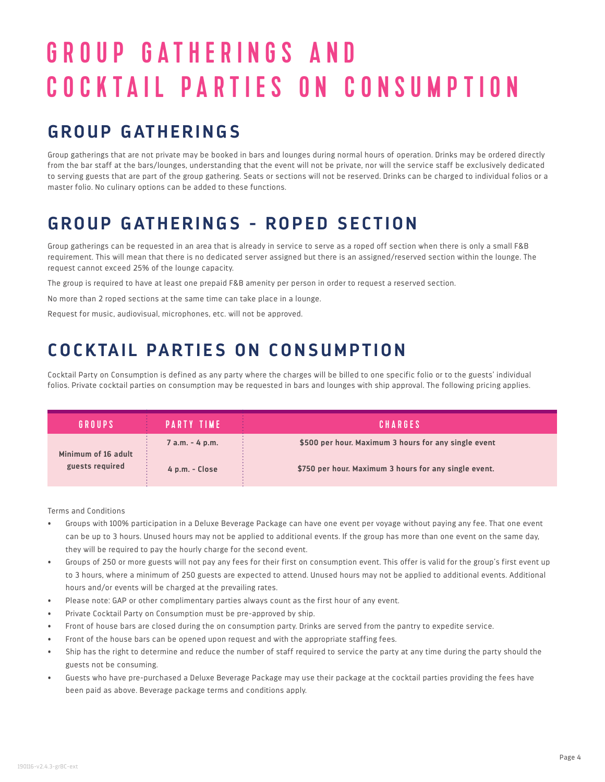# G R O U P G A T H E R I N G S A N D COCKTAIL PARTIES ON CONSUMPTION

## **GROUP GATHERINGS**

Group gatherings that are not private may be booked in bars and lounges during normal hours of operation. Drinks may be ordered directly from the bar staff at the bars/lounges, understanding that the event will not be private, nor will the service staff be exclusively dedicated to serving guests that are part of the group gathering. Seats or sections will not be reserved. Drinks can be charged to individual folios or a master folio. No culinary options can be added to these functions.

# **GROUP GATHERINGS - ROPED SECTION**

Group gatherings can be requested in an area that is already in service to serve as a roped off section when there is only a small F&B requirement. This will mean that there is no dedicated server assigned but there is an assigned/reserved section within the lounge. The request cannot exceed 25% of the lounge capacity.

The group is required to have at least one prepaid F&B amenity per person in order to request a reserved section.

No more than 2 roped sections at the same time can take place in a lounge.

Request for music, audiovisual, microphones, etc. will not be approved.

# **COCKTAIL PARTIES ON CONSUMPTION**

Cocktail Party on Consumption is defined as any party where the charges will be billed to one specific folio or to the guests' individual folios. Private cocktail parties on consumption may be requested in bars and lounges with ship approval. The following pricing applies.

| <b>GROUPS</b>       | <b>PARTY TIME</b> | <b>CHARGES</b>                                        |
|---------------------|-------------------|-------------------------------------------------------|
| Minimum of 16 adult | 7 a.m. - 4 p.m.   | \$500 per hour. Maximum 3 hours for any single event  |
| guests required     | 4 p.m. - Close    | \$750 per hour. Maximum 3 hours for any single event. |

Terms and Conditions

- Groups with 100% participation in a Deluxe Beverage Package can have one event per voyage without paying any fee. That one event can be up to 3 hours. Unused hours may not be applied to additional events. If the group has more than one event on the same day, they will be required to pay the hourly charge for the second event.
- Groups of 250 or more guests will not pay any fees for their first on consumption event. This offer is valid for the group's first event up to 3 hours, where a minimum of 250 guests are expected to attend. Unused hours may not be applied to additional events. Additional hours and/or events will be charged at the prevailing rates.
- Please note: GAP or other complimentary parties always count as the first hour of any event.
- Private Cocktail Party on Consumption must be pre-approved by ship.
- Front of house bars are closed during the on consumption party. Drinks are served from the pantry to expedite service.
- Front of the house bars can be opened upon request and with the appropriate staffing fees.
- Ship has the right to determine and reduce the number of staff required to service the party at any time during the party should the guests not be consuming.
- Guests who have pre-purchased a Deluxe Beverage Package may use their package at the cocktail parties providing the fees have been paid as above. Beverage package terms and conditions apply.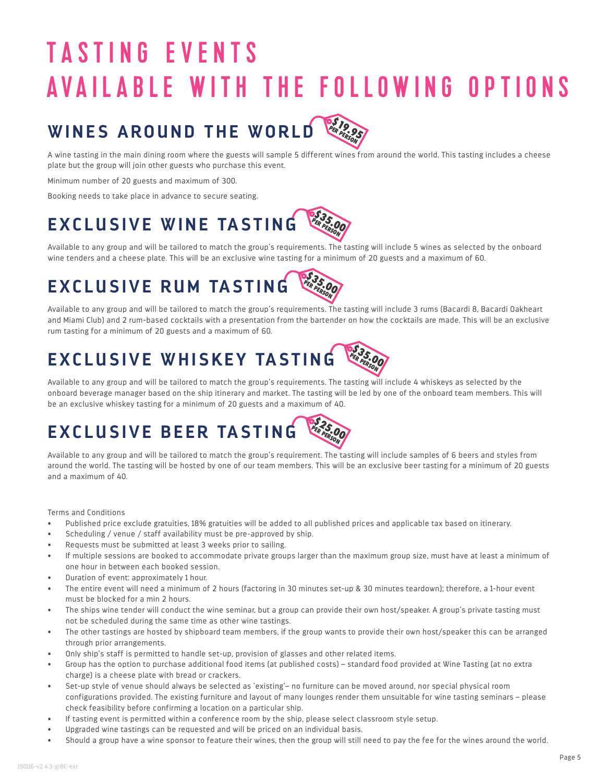# TASTING EVENTS AVAILABLE WITH THE FOLLOWING OPTIONS

#### **\$19.95** PER PERSON **WINES AROUND THE WORLD**

A wine tasting in the main dining room where the guests will sample 5 different wines from around the world. This tasting includes a cheese plate but the group will join other guests who purchase this event.

Minimum number of 20 guests and maximum of 300.

Booking needs to take place in advance to secure seating.

#### **\$35.00 PER PERSON EXCLUSIVE WINE TASTING**

Available to any group and will be tailored to match the group's requirements. The tasting will include 5 wines as selected by the onboard wine tenders and a cheese plate. This will be an exclusive wine tasting for a minimum of 20 guests and a maximum of 60.

#### **\$35.00** PER PERSON **EXCLUSIVE RUM TASTING**

Available to any group and will be tailored to match the group's requirements. The tasting will include 3 rums (Bacardi 8, Bacardi Oakheart and Miami Club) and 2 rum-based cocktails with a presentation from the bartender on how the cocktails are made. This will be an exclusive rum tasting for a minimum of 20 guests and a maximum of 60.

#### **\$35.00** PER PERSON **EXCLUSIVE WHISKEY TASTING**

Available to any group and will be tailored to match the group's requirements. The tasting will include 4 whiskeys as selected by the onboard beverage manager based on the ship itinerary and market. The tasting will be led by one of the onboard team members. This will be an exclusive whiskey tasting for a minimum of 20 guests and a maximum of 40.

#### **\$25.00** PER PERSON **EXCLUSIVE BEER TASTING**

Available to any group and will be tailored to match the group's requirement. The tasting will include samples of 6 beers and styles from around the world. The tasting will be hosted by one of our team members. This will be an exclusive beer tasting for a minimum of 20 guests and a maximum of 40.

Terms and Conditions

- Published price exclude gratuities, 18% gratuities will be added to all published prices and applicable tax based on itinerary.
- Scheduling / venue / staff availability must be pre-approved by ship.
- Requests must be submitted at least 3 weeks prior to sailing.
- If multiple sessions are booked to accommodate private groups larger than the maximum group size, must have at least a minimum of one hour in between each booked session.
- Duration of event: approximately 1 hour.
- The entire event will need a minimum of 2 hours (factoring in 30 minutes set-up & 30 minutes teardown); therefore, a 1-hour event must be blocked for a min 2 hours.
- The ships wine tender will conduct the wine seminar, but a group can provide their own host/speaker. A group's private tasting must not be scheduled during the same time as other wine tastings.
- The other tastings are hosted by shipboard team members, if the group wants to provide their own host/speaker this can be arranged through prior arrangements.
- Only ship's staff is permitted to handle set-up, provision of glasses and other related items.
- Group has the option to purchase additional food items (at published costs) standard food provided at Wine Tasting (at no extra charge) is a cheese plate with bread or crackers.
- Set-up style of venue should always be selected as 'existing'– no furniture can be moved around, nor special physical room configurations provided. The existing furniture and layout of many lounges render them unsuitable for wine tasting seminars – please check feasibility before confirming a location on a particular ship.
- If tasting event is permitted within a conference room by the ship, please select classroom style setup.
- Upgraded wine tastings can be requested and will be priced on an individual basis.
- Should a group have a wine sponsor to feature their wines, then the group will still need to pay the fee for the wines around the world.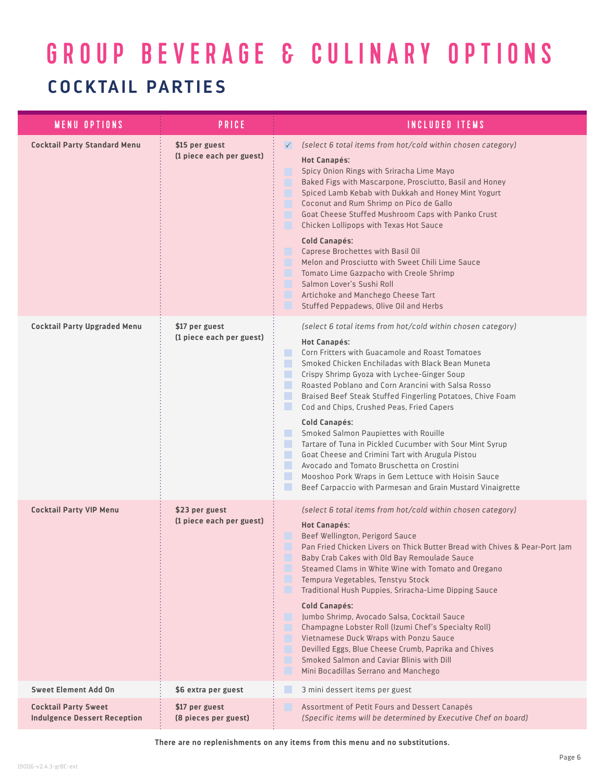# GROUP BEVERAGE & CULINARY OPTIONS **COCKTAIL PARTIES**

| <b>MENU OPTIONS</b>                                                | <b>PRICE</b>                               | <b>INCLUDED ITEMS</b>                                                                                                                                                                                                                                                                                                                                                                                                                                                                                                                                                                                                                                                                                                                                                                                                                |
|--------------------------------------------------------------------|--------------------------------------------|--------------------------------------------------------------------------------------------------------------------------------------------------------------------------------------------------------------------------------------------------------------------------------------------------------------------------------------------------------------------------------------------------------------------------------------------------------------------------------------------------------------------------------------------------------------------------------------------------------------------------------------------------------------------------------------------------------------------------------------------------------------------------------------------------------------------------------------|
| <b>Cocktail Party Standard Menu</b>                                | \$15 per guest<br>(1 piece each per guest) | (select 6 total items from hot/cold within chosen category)<br>$\checkmark$<br><b>Hot Canapés:</b><br>Spicy Onion Rings with Sriracha Lime Mayo<br>u<br>Baked Figs with Mascarpone, Prosciutto, Basil and Honey<br>u<br>Spiced Lamb Kebab with Dukkah and Honey Mint Yogurt<br>u<br>Coconut and Rum Shrimp on Pico de Gallo<br>H<br>Goat Cheese Stuffed Mushroom Caps with Panko Crust<br>n<br>$\blacksquare$<br>Chicken Lollipops with Texas Hot Sauce<br><b>Cold Canapés:</b><br>Caprese Brochettes with Basil Oil<br>u<br>Melon and Prosciutto with Sweet Chili Lime Sauce<br>ı.<br>Tomato Lime Gazpacho with Creole Shrimp<br>H<br>H<br>Salmon Lover's Sushi Roll<br>H<br>Artichoke and Manchego Cheese Tart<br>Stuffed Peppadews, Olive Oil and Herbs                                                                           |
| <b>Cocktail Party Upgraded Menu</b>                                | \$17 per guest<br>(1 piece each per guest) | (select 6 total items from hot/cold within chosen category)<br><b>Hot Canapés:</b><br>Corn Fritters with Guacamole and Roast Tomatoes<br>٠<br>Smoked Chicken Enchiladas with Black Bean Muneta<br>L.<br>. .<br>Crispy Shrimp Gyoza with Lychee-Ginger Soup<br>Roasted Poblano and Corn Arancini with Salsa Rosso<br>. .<br>. .<br>Braised Beef Steak Stuffed Fingerling Potatoes, Chive Foam<br>. .<br>Cod and Chips, Crushed Peas, Fried Capers<br><b>Cold Canapés:</b><br>Smoked Salmon Paupiettes with Rouille<br>. .<br>Tartare of Tuna in Pickled Cucumber with Sour Mint Syrup<br>. .<br>Goat Cheese and Crimini Tart with Arugula Pistou<br>. .<br>Avocado and Tomato Bruschetta on Crostini<br>. .<br>Mooshoo Pork Wraps in Gem Lettuce with Hoisin Sauce<br>H<br>Beef Carpaccio with Parmesan and Grain Mustard Vinaigrette |
| <b>Cocktail Party VIP Menu</b>                                     | \$23 per guest<br>(1 piece each per guest) | (select 6 total items from hot/cold within chosen category)<br><b>Hot Canapés:</b><br>Beef Wellington, Perigord Sauce<br>Pan Fried Chicken Livers on Thick Butter Bread with Chives & Pear-Port Jam<br>Baby Crab Cakes with Old Bay Remoulade Sauce<br>Steamed Clams in White Wine with Tomato and Oregano<br>u<br>Tempura Vegetables, Tenstyu Stock<br>H<br>Traditional Hush Puppies, Sriracha-Lime Dipping Sauce<br><b>Cold Canapés:</b><br>Jumbo Shrimp, Avocado Salsa, Cocktail Sauce<br>m<br>Champagne Lobster Roll (Izumi Chef's Specialty Roll)<br>n.<br>Vietnamese Duck Wraps with Ponzu Sauce<br>H<br>Devilled Eggs, Blue Cheese Crumb, Paprika and Chives<br>r.<br>Smoked Salmon and Caviar Blinis with Dill<br>Mini Bocadillas Serrano and Manchego                                                                       |
| <b>Sweet Element Add On</b>                                        | \$6 extra per guest                        | 3 mini dessert items per guest                                                                                                                                                                                                                                                                                                                                                                                                                                                                                                                                                                                                                                                                                                                                                                                                       |
| <b>Cocktail Party Sweet</b><br><b>Indulgence Dessert Reception</b> | \$17 per guest<br>(8 pieces per guest)     | Assortment of Petit Fours and Dessert Canapés<br>n.<br>(Specific items will be determined by Executive Chef on board)                                                                                                                                                                                                                                                                                                                                                                                                                                                                                                                                                                                                                                                                                                                |

**There are no replenishments on any items from this menu and no substitutions.**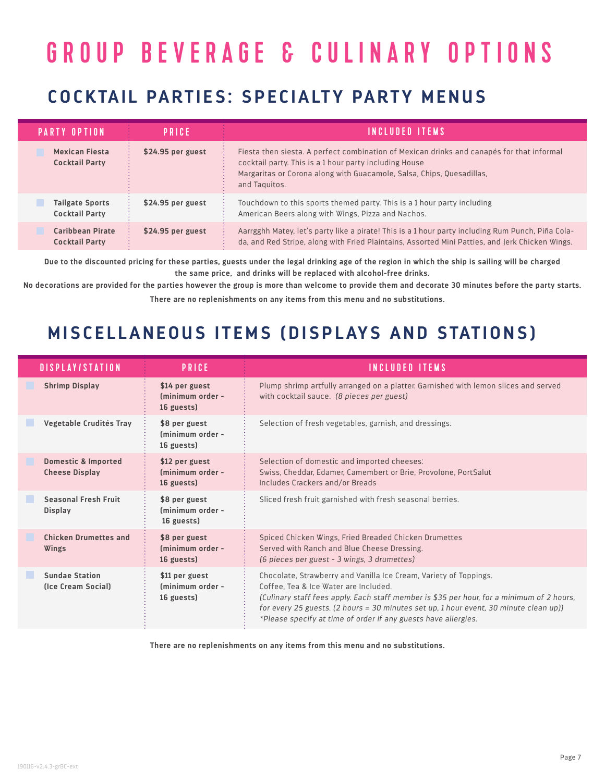# GROUP BEVERAGE & CULINARY OPTIONS

## **COCKTAIL PARTIES: SPECIALTY PARTY MENUS**

| <b>PARTY OPTION</b>                             | PRICE              | INCLUDED ITEMS                                                                                                                                                                                                                                |
|-------------------------------------------------|--------------------|-----------------------------------------------------------------------------------------------------------------------------------------------------------------------------------------------------------------------------------------------|
| <b>Mexican Fiesta</b><br><b>Cocktail Party</b>  | $$24.95$ per guest | Fiesta then siesta. A perfect combination of Mexican drinks and canapés for that informal<br>cocktail party. This is a 1 hour party including House<br>Margaritas or Corona along with Guacamole, Salsa, Chips, Quesadillas,<br>and Taguitos. |
| <b>Tailgate Sports</b><br><b>Cocktail Party</b> | $$24.95$ per guest | Touchdown to this sports themed party. This is a 1 hour party including<br>American Beers along with Wings, Pizza and Nachos.                                                                                                                 |
| Caribbean Pirate<br><b>Cocktail Party</b>       | $$24.95$ per guest | Aarrgghh Matey, let's party like a pirate! This is a 1 hour party including Rum Punch, Piña Cola-<br>da, and Red Stripe, along with Fried Plaintains, Assorted Mini Patties, and Jerk Chicken Wings.                                          |

**Due to the discounted pricing for these parties, guests under the legal drinking age of the region in which the ship is sailing will be charged the same price, and drinks will be replaced with alcohol-free drinks.**

**No decorations are provided for the parties however the group is more than welcome to provide them and decorate 30 minutes before the party starts.**

**There are no replenishments on any items from this menu and no substitutions.**

# **MISCELLANEOUS ITEMS (DISPLAYS AND STATIONS)**

| <b>DISPLAY/STATION</b>                                  | <b>PRICE</b>                                     | <b>INCLUDED ITEMS</b>                                                                                                                                                                                                                                                                                                                                              |
|---------------------------------------------------------|--------------------------------------------------|--------------------------------------------------------------------------------------------------------------------------------------------------------------------------------------------------------------------------------------------------------------------------------------------------------------------------------------------------------------------|
| <b>Shrimp Display</b>                                   | \$14 per guest<br>(minimum order -<br>16 guests) | Plump shrimp artfully arranged on a platter. Garnished with lemon slices and served<br>with cocktail sauce. (8 pieces per guest)                                                                                                                                                                                                                                   |
| Vegetable Crudités Tray                                 | \$8 per guest<br>(minimum order -<br>16 guests)  | Selection of fresh vegetables, garnish, and dressings.                                                                                                                                                                                                                                                                                                             |
| <b>Domestic &amp; Imported</b><br><b>Cheese Display</b> | \$12 per guest<br>(minimum order -<br>16 guests) | Selection of domestic and imported cheeses:<br>Swiss, Cheddar, Edamer, Camembert or Brie, Provolone, PortSalut<br>Includes Crackers and/or Breads                                                                                                                                                                                                                  |
| <b>Seasonal Fresh Fruit</b><br><b>Display</b>           | \$8 per guest<br>(minimum order -<br>16 guests)  | Sliced fresh fruit garnished with fresh seasonal berries.                                                                                                                                                                                                                                                                                                          |
| <b>Chicken Drumettes and</b><br>Wings                   | \$8 per guest<br>(minimum order -<br>16 guests)  | Spiced Chicken Wings, Fried Breaded Chicken Drumettes<br>Served with Ranch and Blue Cheese Dressing.<br>(6 pieces per guest - 3 wings, 3 drumettes)                                                                                                                                                                                                                |
| <b>Sundae Station</b><br>(Ice Cream Social)             | \$11 per guest<br>(minimum order -<br>16 guests) | Chocolate, Strawberry and Vanilla Ice Cream, Variety of Toppings.<br>Coffee. Tea & Ice Water are Included.<br>(Culinary staff fees apply. Each staff member is \$35 per hour, for a minimum of 2 hours,<br>for every 25 guests. (2 hours = 30 minutes set up, 1 hour event, 30 minute clean up))<br>*Please specify at time of order if any guests have allergies. |

**There are no replenishments on any items from this menu and no substitutions.**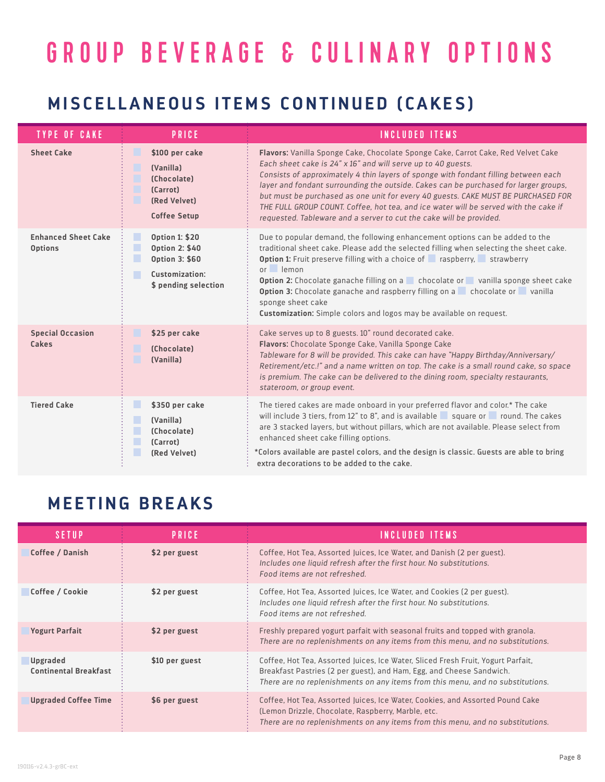# GROUP BEVERAGE & CULINARY OPTIONS

# **MISCELLANEOUS ITEMS CONTINUED (CAKES)**

| <b>TYPE OF CAKE</b>                          | <b>PRICE</b>                                                                                                                           | <b>INCLUDED ITEMS</b>                                                                                                                                                                                                                                                                                                                                                                                                                                                                                                                                                                |
|----------------------------------------------|----------------------------------------------------------------------------------------------------------------------------------------|--------------------------------------------------------------------------------------------------------------------------------------------------------------------------------------------------------------------------------------------------------------------------------------------------------------------------------------------------------------------------------------------------------------------------------------------------------------------------------------------------------------------------------------------------------------------------------------|
| <b>Sheet Cake</b>                            | L.<br>\$100 per cake<br>r.<br>(Vanilla)<br>L<br>(Chocolate)<br>(Carrot)<br>(Red Velvet)<br><b>Coffee Setup</b>                         | Flavors: Vanilla Sponge Cake, Chocolate Sponge Cake, Carrot Cake, Red Velvet Cake<br>Each sheet cake is 24" x 16" and will serve up to 40 guests.<br>Consists of approximately 4 thin layers of sponge with fondant filling between each<br>layer and fondant surrounding the outside. Cakes can be purchased for larger groups,<br>but must be purchased as one unit for every 40 guests. CAKE MUST BE PURCHASED FOR<br>THE FULL GROUP COUNT. Coffee, hot tea, and ice water will be served with the cake if<br>requested. Tableware and a server to cut the cake will be provided. |
| <b>Enhanced Sheet Cake</b><br><b>Options</b> | ı.<br><b>Option 1: \$20</b><br>L<br><b>Option 2: \$40</b><br>L<br><b>Option 3: \$60</b><br>Customization:<br>П<br>\$ pending selection | Due to popular demand, the following enhancement options can be added to the<br>traditional sheet cake. Please add the selected filling when selecting the sheet cake.<br><b>Option 1:</b> Fruit preserve filling with a choice of <b>Figure</b> raspberry, <b>Figure</b> strawberry<br>or lemon<br>Option 2: Chocolate ganache filling on a chocolate or vanilla sponge sheet cake<br><b>Option 3:</b> Chocolate ganache and raspberry filling on a chocolate or vanilla<br>sponge sheet cake<br>Customization: Simple colors and logos may be available on request.                |
| <b>Special Occasion</b><br>Cakes             | \$25 per cake<br>n.<br>(Chocolate)<br>(Vanilla)                                                                                        | Cake serves up to 8 guests. 10" round decorated cake.<br>Flavors: Chocolate Sponge Cake, Vanilla Sponge Cake<br>Tableware for 8 will be provided. This cake can have "Happy Birthday/Anniversary/<br>Retirement/etc.!" and a name written on top. The cake is a small round cake, so space<br>is premium. The cake can be delivered to the dining room, specialty restaurants,<br>stateroom, or group event.                                                                                                                                                                         |
| <b>Tiered Cake</b>                           | ı.<br>\$350 per cake<br>L<br>(Vanilla)<br>L<br>(Chocolate)<br>(Carrot)<br>(Red Velvet)                                                 | The tiered cakes are made onboard in your preferred flavor and color.* The cake<br>will include 3 tiers, from 12" to 8", and is available square or round. The cakes<br>are 3 stacked layers, but without pillars, which are not available. Please select from<br>enhanced sheet cake filling options.<br>*Colors available are pastel colors, and the design is classic. Guests are able to bring<br>extra decorations to be added to the cake.                                                                                                                                     |

## **MEETING BREAKS**

| <b>SETUP</b>                             | <b>PRICE</b>   | INCLUDED ITEMS                                                                                                                                                                                                                             |
|------------------------------------------|----------------|--------------------------------------------------------------------------------------------------------------------------------------------------------------------------------------------------------------------------------------------|
| Coffee / Danish                          | \$2 per guest  | Coffee, Hot Tea, Assorted Juices, Ice Water, and Danish (2 per guest).<br>Includes one liquid refresh after the first hour. No substitutions.<br>Food items are not refreshed.                                                             |
| Coffee / Cookie                          | \$2 per guest  | Coffee, Hot Tea, Assorted Juices, Ice Water, and Cookies (2 per guest).<br>Includes one liquid refresh after the first hour. No substitutions.<br>Food items are not refreshed.                                                            |
| <b>Yogurt Parfait</b>                    | \$2 per guest  | Freshly prepared yogurt parfait with seasonal fruits and topped with granola.<br>There are no replenishments on any items from this menu, and no substitutions.                                                                            |
| Upgraded<br><b>Continental Breakfast</b> | \$10 per guest | Coffee, Hot Tea, Assorted Juices, Ice Water, Sliced Fresh Fruit, Yogurt Parfait,<br>Breakfast Pastries (2 per guest), and Ham, Egg, and Cheese Sandwich.<br>There are no replenishments on any items from this menu, and no substitutions. |
| <b>Upgraded Coffee Time</b>              | \$6 per guest  | Coffee, Hot Tea, Assorted Juices, Ice Water, Cookies, and Assorted Pound Cake<br>(Lemon Drizzle, Chocolate, Raspberry, Marble, etc.<br>There are no replenishments on any items from this menu, and no substitutions.                      |